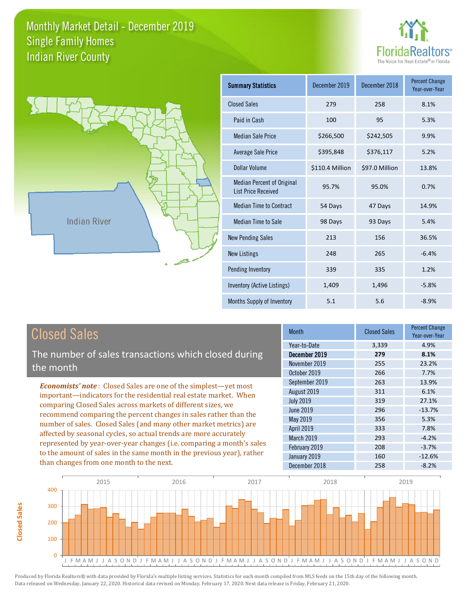



**Closed Sales**

**Closed Sales** 

| <b>Summary Statistics</b>                                       | December 2019   | December 2018  | <b>Percent Change</b><br>Year-over-Year |
|-----------------------------------------------------------------|-----------------|----------------|-----------------------------------------|
| <b>Closed Sales</b>                                             | 279             | 258            | 8.1%                                    |
| Paid in Cash                                                    | 100             | 95             | 5.3%                                    |
| <b>Median Sale Price</b>                                        | \$266,500       | \$242,505      | 9.9%                                    |
| <b>Average Sale Price</b>                                       | \$395,848       | \$376,117      | 5.2%                                    |
| Dollar Volume                                                   | \$110.4 Million | \$97.0 Million | 13.8%                                   |
| <b>Median Percent of Original</b><br><b>List Price Received</b> | 95.7%           | 95.0%          | 0.7%                                    |
| <b>Median Time to Contract</b>                                  | 54 Days         | 47 Days        | 14.9%                                   |
| <b>Median Time to Sale</b>                                      | 98 Days         | 93 Days        | 5.4%                                    |
| <b>New Pending Sales</b>                                        | 213             | 156            | 36.5%                                   |
| <b>New Listings</b>                                             | 248             | 265            | $-6.4%$                                 |
| Pending Inventory                                               | 339             | 335            | 1.2%                                    |
| Inventory (Active Listings)                                     | 1,409           | 1,496          | $-5.8%$                                 |
| Months Supply of Inventory                                      | 5.1             | 5.6            | $-8.9%$                                 |

| <b>Closed Sales</b>                                                                                                                                                                                                                                                                                                                                                                                                                                                                                                                                                          | <b>Month</b>                                                                                                                          | <b>Closed Sales</b>                                         | <b>Percent Change</b><br>Year-over-Year                                              |
|------------------------------------------------------------------------------------------------------------------------------------------------------------------------------------------------------------------------------------------------------------------------------------------------------------------------------------------------------------------------------------------------------------------------------------------------------------------------------------------------------------------------------------------------------------------------------|---------------------------------------------------------------------------------------------------------------------------------------|-------------------------------------------------------------|--------------------------------------------------------------------------------------|
|                                                                                                                                                                                                                                                                                                                                                                                                                                                                                                                                                                              | Year-to-Date                                                                                                                          | 3,339                                                       | 4.9%                                                                                 |
| The number of sales transactions which closed during<br>the month                                                                                                                                                                                                                                                                                                                                                                                                                                                                                                            | December 2019<br>November 2019<br>October 2019                                                                                        | 279<br>255<br>266                                           | 8.1%<br>23.2%<br>7.7%                                                                |
| <b>Economists' note:</b> Closed Sales are one of the simplest—yet most<br>important—indicators for the residential real estate market. When<br>comparing Closed Sales across markets of different sizes, we<br>recommend comparing the percent changes in sales rather than the<br>number of sales. Closed Sales (and many other market metrics) are<br>affected by seasonal cycles, so actual trends are more accurately<br>represented by year-over-year changes (i.e. comparing a month's sales<br>to the amount of sales in the same month in the previous year), rather | September 2019<br>August 2019<br><b>July 2019</b><br>June 2019<br>May 2019<br><b>April 2019</b><br><b>March 2019</b><br>February 2019 | 263<br>311<br>319<br>296<br>356<br>333<br>293<br>208<br>160 | 13.9%<br>6.1%<br>27.1%<br>$-13.7%$<br>5.3%<br>7.8%<br>$-4.2%$<br>$-3.7%$<br>$-12.6%$ |
| than changes from one month to the next.                                                                                                                                                                                                                                                                                                                                                                                                                                                                                                                                     | January 2019<br>December 2018                                                                                                         | 258                                                         | $-8.2%$                                                                              |

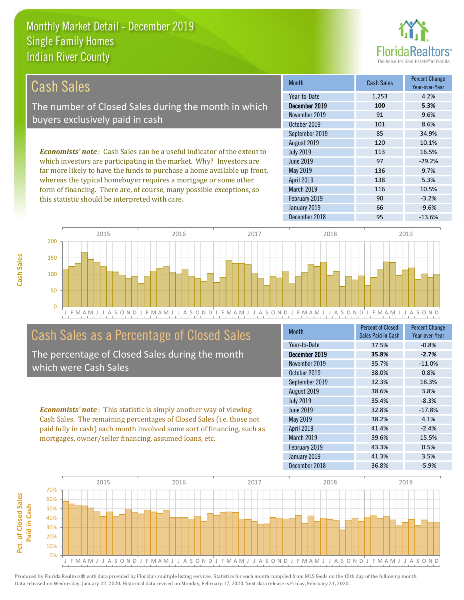this statistic should be interpreted with care.



90 -3.2%

| Cash Sales                                                                     | <b>Month</b>      | <b>Cash Sales</b> | <b>Percent Change</b><br>Year-over-Year |
|--------------------------------------------------------------------------------|-------------------|-------------------|-----------------------------------------|
|                                                                                | Year-to-Date      | 1,253             | 4.2%                                    |
| The number of Closed Sales during the month in which                           | December 2019     | 100               | 5.3%                                    |
| buyers exclusively paid in cash                                                | November 2019     | 91                | 9.6%                                    |
|                                                                                | October 2019      | 101               | 8.6%                                    |
|                                                                                | September 2019    | 85                | 34.9%                                   |
|                                                                                | August 2019       | 120               | 10.1%                                   |
| <b>Economists' note:</b> Cash Sales can be a useful indicator of the extent to | <b>July 2019</b>  | 113               | 16.5%                                   |
| which investors are participating in the market. Why? Investors are            | June 2019         | 97                | $-29.2%$                                |
| far more likely to have the funds to purchase a home available up front,       | May 2019          | 136               | 9.7%                                    |
| whereas the typical homebuyer requires a mortgage or some other                | <b>April 2019</b> | 138               | 5.3%                                    |
| form of financing. There are, of course, many possible exceptions, so          | <b>March 2019</b> | 116               | 10.5%                                   |



# Cash Sales as a Percentage of Closed Sales

The percentage of Closed Sales during the month which were Cash Sales

*Economists' note* : This statistic is simply another way of viewing Cash Sales. The remaining percentages of Closed Sales (i.e. those not paid fully in cash) each month involved some sort of financing, such as mortgages, owner/seller financing, assumed loans, etc.

| <b>Month</b>      | Percent of Closed<br>Sales Paid in Cash | <b>Percent Change</b><br>Year-over-Year |
|-------------------|-----------------------------------------|-----------------------------------------|
| Year-to-Date      | 37.5%                                   | $-0.8%$                                 |
| December 2019     | 35.8%                                   | $-2.7%$                                 |
| November 2019     | 35.7%                                   | $-11.0%$                                |
| October 2019      | 38.0%                                   | 0.8%                                    |
| September 2019    | 32.3%                                   | 18.3%                                   |
| August 2019       | 38.6%                                   | 3.8%                                    |
| <b>July 2019</b>  | 35.4%                                   | $-8.3%$                                 |
| June 2019         | 32.8%                                   | $-17.8%$                                |
| <b>May 2019</b>   | 38.2%                                   | 4.1%                                    |
| <b>April 2019</b> | 41.4%                                   | $-2.4%$                                 |
| March 2019        | 39.6%                                   | 15.5%                                   |
| February 2019     | 43.3%                                   | 0.5%                                    |
| January 2019      | 41.3%                                   | 3.5%                                    |
| December 2018     | 36.8%                                   | $-5.9%$                                 |

December 2018 **95** -13.6%

January 2019 **66** -9.6%

February 2019

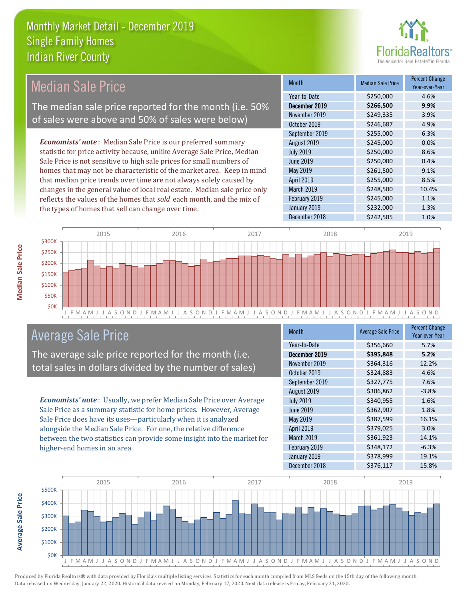

# Median Sale Price

The median sale price reported for the month (i.e. 50% of sales were above and 50% of sales were below)

*Economists' note* : Median Sale Price is our preferred summary statistic for price activity because, unlike Average Sale Price, Median Sale Price is not sensitive to high sale prices for small numbers of homes that may not be characteristic of the market area. Keep in mind that median price trends over time are not always solely caused by changes in the general value of local real estate. Median sale price only reflects the values of the homes that *sold* each month, and the mix of the types of homes that sell can change over time.

| Month            | <b>Median Sale Price</b> | <b>Percent Change</b><br>Year-over-Year |
|------------------|--------------------------|-----------------------------------------|
| Year-to-Date     | \$250,000                | 4.6%                                    |
| December 2019    | \$266,500                | 9.9%                                    |
| November 2019    | \$249,335                | 3.9%                                    |
| October 2019     | \$246,687                | 4.9%                                    |
| September 2019   | \$255,000                | 6.3%                                    |
| August 2019      | \$245,000                | 0.0%                                    |
| <b>July 2019</b> | \$250,000                | 8.6%                                    |
| <b>June 2019</b> | \$250,000                | 0.4%                                    |
| May 2019         | \$261,500                | 9.1%                                    |
| April 2019       | \$255,000                | 8.5%                                    |
| March 2019       | \$248,500                | 10.4%                                   |
| February 2019    | \$245,000                | 1.1%                                    |
| January 2019     | \$232,000                | 1.3%                                    |
| December 2018    | \$242,505                | 1.0%                                    |



# Average Sale Price

The average sale price reported for the month (i.e. total sales in dollars divided by the number of sales)

*Economists' note* : Usually, we prefer Median Sale Price over Average Sale Price as a summary statistic for home prices. However, Average Sale Price does have its uses—particularly when it is analyzed alongside the Median Sale Price. For one, the relative difference between the two statistics can provide some insight into the market for higher-end homes in an area.

| <b>Month</b>     | <b>Average Sale Price</b> | <b>Percent Change</b><br>Year-over-Year |
|------------------|---------------------------|-----------------------------------------|
| Year-to-Date     | \$356,660                 | 5.7%                                    |
| December 2019    | \$395,848                 | 5.2%                                    |
| November 2019    | \$364,316                 | 12.2%                                   |
| October 2019     | \$324,883                 | 4.6%                                    |
| September 2019   | \$327,775                 | 7.6%                                    |
| August 2019      | \$306,862                 | $-3.8%$                                 |
| <b>July 2019</b> | \$340,955                 | 1.6%                                    |
| <b>June 2019</b> | \$362,907                 | 1.8%                                    |
| May 2019         | \$387,599                 | 16.1%                                   |
| April 2019       | \$379,025                 | 3.0%                                    |
| March 2019       | \$361,923                 | 14.1%                                   |
| February 2019    | \$348,172                 | $-6.3%$                                 |
| January 2019     | \$378,999                 | 19.1%                                   |
| December 2018    | \$376,117                 | 15.8%                                   |



**Average Sale Price**

**Average Sale Price**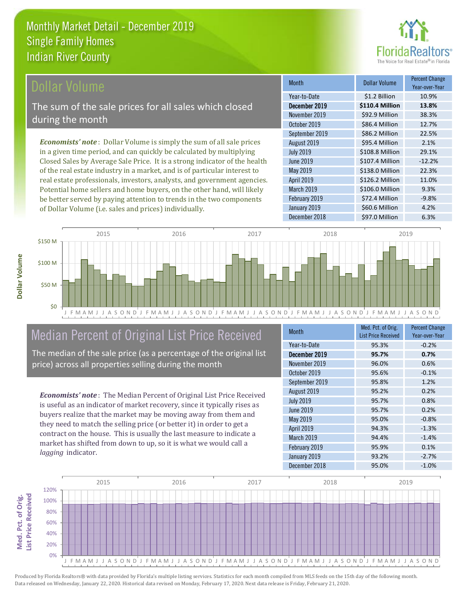

# ollar Volume

The sum of the sale prices for all sales which closed during the month

*Economists' note* : Dollar Volume is simply the sum of all sale prices in a given time period, and can quickly be calculated by multiplying Closed Sales by Average Sale Price. It is a strong indicator of the health of the real estate industry in a market, and is of particular interest to real estate professionals, investors, analysts, and government agencies. Potential home sellers and home buyers, on the other hand, will likely be better served by paying attention to trends in the two components of Dollar Volume (i.e. sales and prices) individually.

| <b>Month</b>      | Dollar Volume   | <b>Percent Change</b><br>Year-over-Year |
|-------------------|-----------------|-----------------------------------------|
| Year-to-Date      | \$1.2 Billion   | 10.9%                                   |
| December 2019     | \$110.4 Million | 13.8%                                   |
| November 2019     | \$92.9 Million  | 38.3%                                   |
| October 2019      | \$86.4 Million  | 12.7%                                   |
| September 2019    | \$86.2 Million  | 22.5%                                   |
| August 2019       | \$95.4 Million  | 2.1%                                    |
| <b>July 2019</b>  | \$108.8 Million | 29.1%                                   |
| <b>June 2019</b>  | \$107.4 Million | $-12.2%$                                |
| May 2019          | \$138.0 Million | 22.3%                                   |
| <b>April 2019</b> | \$126.2 Million | 11.0%                                   |
| March 2019        | \$106.0 Million | 9.3%                                    |
| February 2019     | \$72.4 Million  | $-9.8%$                                 |
| January 2019      | \$60.6 Million  | 4.2%                                    |
| December 2018     | \$97.0 Million  | 6.3%                                    |



# Median Percent of Original List Price Received

The median of the sale price (as a percentage of the original list price) across all properties selling during the month

*Economists' note* : The Median Percent of Original List Price Received is useful as an indicator of market recovery, since it typically rises as buyers realize that the market may be moving away from them and they need to match the selling price (or better it) in order to get a contract on the house. This is usually the last measure to indicate a market has shifted from down to up, so it is what we would call a *lagging* indicator.

| <b>Month</b>     | Med. Pct. of Orig.<br><b>List Price Received</b> | <b>Percent Change</b><br>Year-over-Year |
|------------------|--------------------------------------------------|-----------------------------------------|
| Year-to-Date     | 95.3%                                            | $-0.2%$                                 |
| December 2019    | 95.7%                                            | 0.7%                                    |
| November 2019    | 96.0%                                            | 0.6%                                    |
| October 2019     | 95.6%                                            | $-0.1%$                                 |
| September 2019   | 95.8%                                            | 1.2%                                    |
| August 2019      | 95.2%                                            | 0.2%                                    |
| <b>July 2019</b> | 95.7%                                            | 0.8%                                    |
| <b>June 2019</b> | 95.7%                                            | 0.2%                                    |
| <b>May 2019</b>  | 95.0%                                            | $-0.8%$                                 |
| April 2019       | 94.3%                                            | $-1.3%$                                 |
| March 2019       | 94.4%                                            | $-1.4%$                                 |
| February 2019    | 95.9%                                            | 0.1%                                    |
| January 2019     | 93.2%                                            | $-2.7%$                                 |
| December 2018    | 95.0%                                            | $-1.0%$                                 |

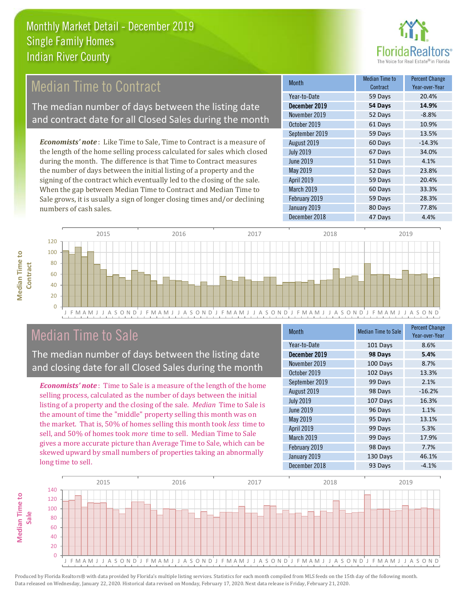

# **Median Time to Contract**

The median number of days between the listing date and contract date for all Closed Sales during the month

*Economists' note* : Like Time to Sale, Time to Contract is a measure of the length of the home selling process calculated for sales which closed during the month. The difference is that Time to Contract measures the number of days between the initial listing of a property and the signing of the contract which eventually led to the closing of the sale. When the gap between Median Time to Contract and Median Time to Sale grows, it is usually a sign of longer closing times and/or declining numbers of cash sales.

| Month             | Median Time to<br>Contract | <b>Percent Change</b><br>Year-over-Year |
|-------------------|----------------------------|-----------------------------------------|
| Year-to-Date      | 59 Days                    | 20.4%                                   |
| December 2019     | 54 Days                    | 14.9%                                   |
| November 2019     | 52 Days                    | $-8.8%$                                 |
| October 2019      | 61 Days                    | 10.9%                                   |
| September 2019    | 59 Days                    | 13.5%                                   |
| August 2019       | 60 Days                    | $-14.3%$                                |
| <b>July 2019</b>  | 67 Days                    | 34.0%                                   |
| <b>June 2019</b>  | 51 Days                    | 4.1%                                    |
| May 2019          | 52 Days                    | 23.8%                                   |
| <b>April 2019</b> | 59 Days                    | 20.4%                                   |
| March 2019        | 60 Days                    | 33.3%                                   |
| February 2019     | 59 Days                    | 28.3%                                   |
| January 2019      | 80 Days                    | 77.8%                                   |
| December 2018     | 47 Days                    | 4.4%                                    |



# Median Time to Sale

**Median Time to** 

**Median Time to** 

The median number of days between the listing date and closing date for all Closed Sales during the month

*Economists' note* : Time to Sale is a measure of the length of the home selling process, calculated as the number of days between the initial listing of a property and the closing of the sale. *Median* Time to Sale is the amount of time the "middle" property selling this month was on the market. That is, 50% of homes selling this month took *less* time to sell, and 50% of homes took *more* time to sell. Median Time to Sale gives a more accurate picture than Average Time to Sale, which can be skewed upward by small numbers of properties taking an abnormally long time to sell.

| <b>Month</b>      | <b>Median Time to Sale</b> | <b>Percent Change</b><br>Year-over-Year |
|-------------------|----------------------------|-----------------------------------------|
| Year-to-Date      | 101 Days                   | 8.6%                                    |
| December 2019     | 98 Days                    | 5.4%                                    |
| November 2019     | 100 Days                   | 8.7%                                    |
| October 2019      | 102 Days                   | 13.3%                                   |
| September 2019    | 99 Days                    | 2.1%                                    |
| August 2019       | 98 Days                    | $-16.2%$                                |
| <b>July 2019</b>  | 107 Days                   | 16.3%                                   |
| June 2019         | 96 Days                    | 1.1%                                    |
| May 2019          | 95 Days                    | 13.1%                                   |
| <b>April 2019</b> | 99 Days                    | 5.3%                                    |
| March 2019        | 99 Days                    | 17.9%                                   |
| February 2019     | 98 Days                    | 7.7%                                    |
| January 2019      | 130 Days                   | 46.1%                                   |
| December 2018     | 93 Days                    | $-4.1%$                                 |

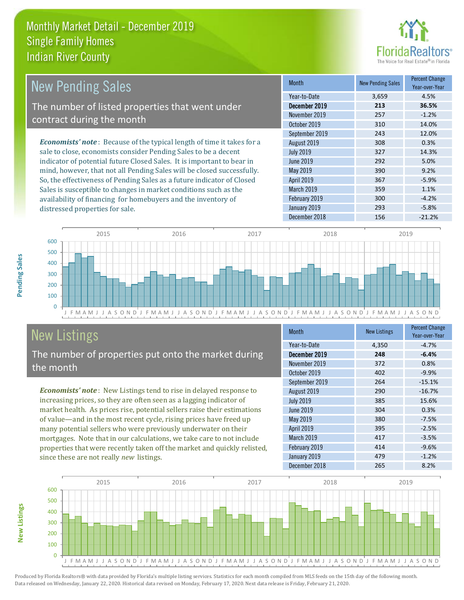

| New Pending Sales                                                              | <b>Month</b>      | <b>New Pending Sales</b> | <b>Percent Change</b><br>Year-over-Year |
|--------------------------------------------------------------------------------|-------------------|--------------------------|-----------------------------------------|
|                                                                                | Year-to-Date      | 3,659                    | 4.5%                                    |
| The number of listed properties that went under                                | December 2019     | 213                      | 36.5%                                   |
| contract during the month                                                      | November 2019     | 257                      | $-1.2%$                                 |
|                                                                                | October 2019      | 310                      | 14.0%                                   |
|                                                                                | September 2019    | 243                      | 12.0%                                   |
| <b>Economists' note</b> : Because of the typical length of time it takes for a | August 2019       | 308                      | 0.3%                                    |
| sale to close, economists consider Pending Sales to be a decent                | <b>July 2019</b>  | 327                      | 14.3%                                   |
| indicator of potential future Closed Sales. It is important to bear in         | June 2019         | 292                      | 5.0%                                    |
| mind, however, that not all Pending Sales will be closed successfully.         | May 2019          | 390                      | 9.2%                                    |
| So, the effectiveness of Pending Sales as a future indicator of Closed         | <b>April 2019</b> | 367                      | $-5.9%$                                 |
| Sales is susceptible to changes in market conditions such as the               | March 2019        | 359                      | 1.1%                                    |

 $\overline{0}$ 100 200 300 400 500 600 2015 2016 2017 2018 2019

#### J F M A M J J A S O N D J F M A M J J A S O N D J F M A M J J A S O N D J F M A M J J A S O N D J F M A M J J A S O N D

# New Listings

distressed properties for sale.

The number of properties put onto the market during the month

availability of financing for homebuyers and the inventory of

*Economists' note* : New Listings tend to rise in delayed response to increasing prices, so they are often seen as a lagging indicator of market health. As prices rise, potential sellers raise their estimations of value—and in the most recent cycle, rising prices have freed up many potential sellers who were previously underwater on their mortgages. Note that in our calculations, we take care to not include properties that were recently taken off the market and quickly relisted, since these are not really *new* listings.

| <b>Month</b>     | <b>New Listings</b> | <b>Percent Change</b><br>Year-over-Year |
|------------------|---------------------|-----------------------------------------|
| Year-to-Date     | 4,350               | $-4.7%$                                 |
| December 2019    | 248                 | $-6.4%$                                 |
| November 2019    | 372                 | 0.8%                                    |
| October 2019     | 402                 | $-9.9%$                                 |
| September 2019   | 264                 | $-15.1%$                                |
| August 2019      | 290                 | $-16.7%$                                |
| <b>July 2019</b> | 385                 | 15.6%                                   |
| June 2019        | 304                 | 0.3%                                    |
| May 2019         | 380                 | $-7.5%$                                 |
| April 2019       | 395                 | $-2.5%$                                 |
| March 2019       | 417                 | $-3.5%$                                 |
| February 2019    | 414                 | $-9.6%$                                 |
| January 2019     | 479                 | $-1.2%$                                 |
| December 2018    | 265                 | 8.2%                                    |

February 2019 **300** -4.2% January 2019 **293** -5.8% December 2018 156 -21.2%



Pending Sales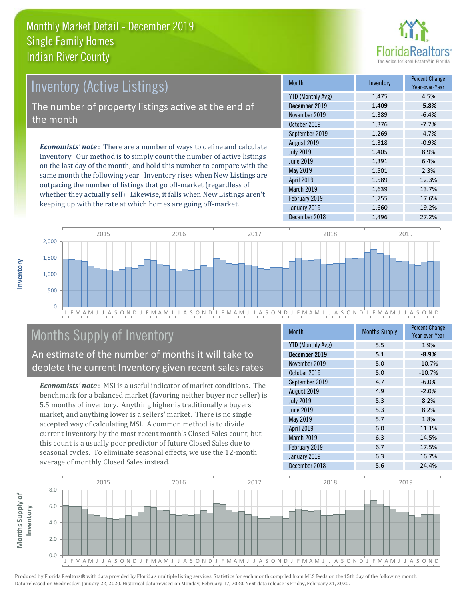

# Inventory (Active Listings)

The number of property listings active at the end of the month

*Economists' note* : There are a number of ways to define and calculate Inventory. Our method is to simply count the number of active listings on the last day of the month, and hold this number to compare with the same month the following year. Inventory rises when New Listings are outpacing the number of listings that go off-market (regardless of whether they actually sell). Likewise, it falls when New Listings aren't keeping up with the rate at which homes are going off-market.

| <b>Month</b>      | Inventory | <b>Percent Change</b><br>Year-over-Year |
|-------------------|-----------|-----------------------------------------|
| YTD (Monthly Avg) | 1,475     | 4.5%                                    |
| December 2019     | 1,409     | $-5.8%$                                 |
| November 2019     | 1,389     | $-6.4%$                                 |
| October 2019      | 1,376     | $-7.7%$                                 |
| September 2019    | 1,269     | $-4.7%$                                 |
| August 2019       | 1,318     | $-0.9%$                                 |
| <b>July 2019</b>  | 1,405     | 8.9%                                    |
| <b>June 2019</b>  | 1,391     | 6.4%                                    |
| <b>May 2019</b>   | 1,501     | 2.3%                                    |
| April 2019        | 1,589     | 12.3%                                   |
| March 2019        | 1,639     | 13.7%                                   |
| February 2019     | 1,755     | 17.6%                                   |
| January 2019      | 1,660     | 19.2%                                   |
| December 2018     | 1,496     | 27.2%                                   |



# Months Supply of Inventory

An estimate of the number of months it will take to deplete the current Inventory given recent sales rates

*Economists' note* : MSI is a useful indicator of market conditions. The benchmark for a balanced market (favoring neither buyer nor seller) is 5.5 months of inventory. Anything higher is traditionally a buyers' market, and anything lower is a sellers' market. There is no single accepted way of calculating MSI. A common method is to divide current Inventory by the most recent month's Closed Sales count, but this count is a usually poor predictor of future Closed Sales due to seasonal cycles. To eliminate seasonal effects, we use the 12-month average of monthly Closed Sales instead.

| <b>Month</b>             | <b>Months Supply</b> | <b>Percent Change</b><br>Year-over-Year |
|--------------------------|----------------------|-----------------------------------------|
| <b>YTD (Monthly Avg)</b> | 5.5                  | 1.9%                                    |
| December 2019            | 5.1                  | $-8.9%$                                 |
| November 2019            | 5.0                  | $-10.7%$                                |
| October 2019             | 5.0                  | $-10.7%$                                |
| September 2019           | 4.7                  | $-6.0%$                                 |
| August 2019              | 4.9                  | $-2.0%$                                 |
| <b>July 2019</b>         | 5.3                  | 8.2%                                    |
| <b>June 2019</b>         | 5.3                  | 8.2%                                    |
| May 2019                 | 5.7                  | 1.8%                                    |
| April 2019               | 6.0                  | 11.1%                                   |
| <b>March 2019</b>        | 6.3                  | 14.5%                                   |
| February 2019            | 6.7                  | 17.5%                                   |
| January 2019             | 6.3                  | 16.7%                                   |
| December 2018            | 5.6                  | 24.4%                                   |

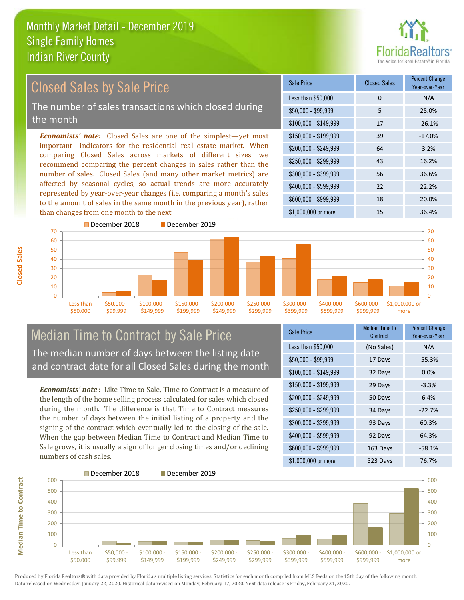

#### *Economists' note:* Closed Sales are one of the simplest—yet most important—indicators for the residential real estate market. When comparing Closed Sales across markets of different sizes, we recommend comparing the percent changes in sales rather than the number of sales. Closed Sales (and many other market metrics) are affected by seasonal cycles, so actual trends are more accurately represented by year-over-year changes (i.e. comparing a month's sales to the amount of sales in the same month in the previous year), rather than changes from one month to the next. \$1,000,000 or more 15 15 36.4% \$250,000 - \$299,999 43 16.2% \$300,000 - \$399,999 56 36.6% \$400,000 - \$599,999 22 22.2% \$600,000 - \$999,999 18 20.0% \$150,000 - \$199,999 39 -17.0% \$200,000 - \$249,999 64 3.2% \$100,000 - \$149,999 17 -26.1% Sale Price Closed Sales Percent Change Year-over-Year Less than \$50,000 0 0 N/A \$50,000 - \$99,999 5 25.0% Closed Sales by Sale Price The number of sales transactions which closed during the month



# Median Time to Contract by Sale Price The median number of days between the listing date and contract date for all Closed Sales during the month

*Economists' note* : Like Time to Sale, Time to Contract is a measure of the length of the home selling process calculated for sales which closed during the month. The difference is that Time to Contract measures the number of days between the initial listing of a property and the signing of the contract which eventually led to the closing of the sale. When the gap between Median Time to Contract and Median Time to Sale grows, it is usually a sign of longer closing times and/or declining numbers of cash sales.

| <b>Sale Price</b>     | <b>Median Time to</b><br>Contract | <b>Percent Change</b><br>Year-over-Year |
|-----------------------|-----------------------------------|-----------------------------------------|
| Less than \$50,000    | (No Sales)                        | N/A                                     |
| $$50,000 - $99,999$   | 17 Days                           | $-55.3%$                                |
| $$100,000 - $149,999$ | 32 Days                           | 0.0%                                    |
| $$150,000 - $199,999$ | 29 Days                           | $-3.3%$                                 |
| \$200,000 - \$249,999 | 50 Days                           | 6.4%                                    |
| \$250,000 - \$299,999 | 34 Days                           | $-22.7%$                                |
| \$300,000 - \$399,999 | 93 Days                           | 60.3%                                   |
| \$400,000 - \$599,999 | 92 Days                           | 64.3%                                   |
| \$600,000 - \$999,999 | 163 Days                          | $-58.1%$                                |
| \$1,000,000 or more   | 523 Days                          | 76.7%                                   |



**Closed Sales**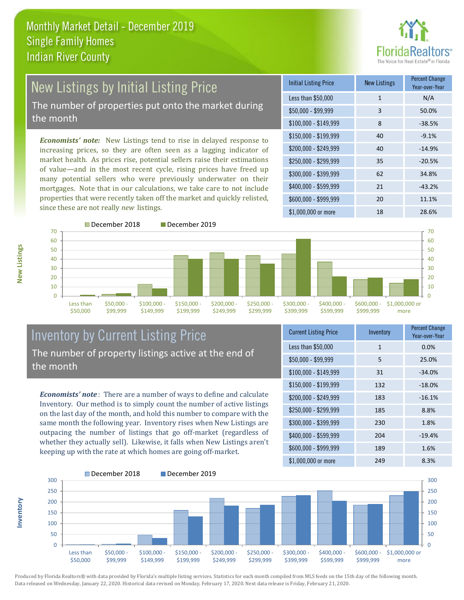

# New Listings by Initial Listing Price The number of properties put onto the market during

the month

*Economists' note:* New Listings tend to rise in delayed response to increasing prices, so they are often seen as a lagging indicator of market health. As prices rise, potential sellers raise their estimations of value—and in the most recent cycle, rising prices have freed up many potential sellers who were previously underwater on their mortgages. Note that in our calculations, we take care to not include properties that were recently taken off the market and quickly relisted, since these are not really *new* listings.

| <b>Initial Listing Price</b> | <b>New Listings</b> | <b>Percent Change</b><br>Year-over-Year |
|------------------------------|---------------------|-----------------------------------------|
| Less than \$50,000           | $\mathbf{1}$        | N/A                                     |
| $$50,000 - $99,999$          | 3                   | 50.0%                                   |
| $$100,000 - $149,999$        | 8                   | $-38.5%$                                |
| $$150,000 - $199,999$        | 40                  | $-9.1%$                                 |
| $$200,000 - $249,999$        | 40                  | $-14.9%$                                |
| \$250,000 - \$299,999        | 35                  | $-20.5%$                                |
| \$300,000 - \$399,999        | 62                  | 34.8%                                   |
| \$400,000 - \$599,999        | 21                  | $-43.2%$                                |
| \$600,000 - \$999,999        | 20                  | 11.1%                                   |
| \$1,000,000 or more          | 18                  | 28.6%                                   |



# Inventory by Current Listing Price The number of property listings active at the end of the month

*Economists' note* : There are a number of ways to define and calculate Inventory. Our method is to simply count the number of active listings on the last day of the month, and hold this number to compare with the same month the following year. Inventory rises when New Listings are outpacing the number of listings that go off-market (regardless of whether they actually sell). Likewise, it falls when New Listings aren't keeping up with the rate at which homes are going off-market.

| <b>Current Listing Price</b> | Inventory    | <b>Percent Change</b><br>Year-over-Year |
|------------------------------|--------------|-----------------------------------------|
| Less than \$50,000           | $\mathbf{1}$ | 0.0%                                    |
| $$50,000 - $99,999$          | 5            | 25.0%                                   |
| $$100,000 - $149,999$        | 31           | $-34.0%$                                |
| $$150,000 - $199,999$        | 132          | $-18.0%$                                |
| \$200,000 - \$249,999        | 183          | $-16.1%$                                |
| \$250,000 - \$299,999        | 185          | 8.8%                                    |
| \$300,000 - \$399,999        | 230          | 1.8%                                    |
| \$400,000 - \$599,999        | 204          | $-19.4%$                                |
| \$600,000 - \$999,999        | 189          | 1.6%                                    |
| \$1,000,000 or more          | 249          | 8.3%                                    |



Produced by Florida Realtors® with data provided by Florida's multiple listing services. Statistics for each month compiled from MLS feeds on the 15th day of the following month. Data released on Wednesday, January 22, 2020. Historical data revised on Monday, February 17, 2020. Next data release is Friday, February 21, 2020.

**Inventory**